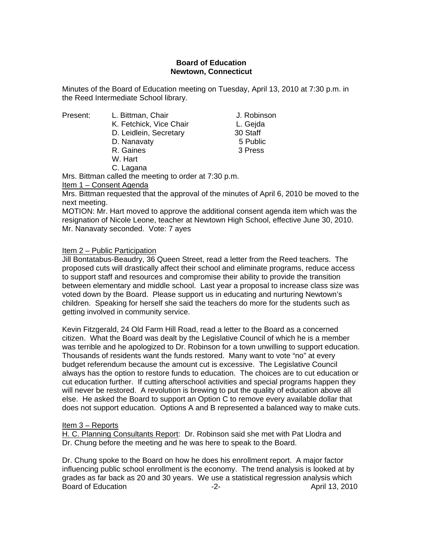## **Board of Education Newtown, Connecticut**

Minutes of the Board of Education meeting on Tuesday, April 13, 2010 at 7:30 p.m. in the Reed Intermediate School library.

- Present: L. Bittman, Chair J. Robinson
	- K. Fetchick, Vice Chair **L. Geida** D. Leidlein, Secretary 30 Staff
	- D. Nanavaty 6 Public 3
	- R. Gaines 3 Press
	- W. Hart
	- C. Lagana

Mrs. Bittman called the meeting to order at 7:30 p.m.

Item 1 – Consent Agenda

Mrs. Bittman requested that the approval of the minutes of April 6, 2010 be moved to the next meeting.

MOTION: Mr. Hart moved to approve the additional consent agenda item which was the resignation of Nicole Leone, teacher at Newtown High School, effective June 30, 2010. Mr. Nanavaty seconded. Vote: 7 ayes

Item 2 – Public Participation

Jill Bontatabus-Beaudry, 36 Queen Street, read a letter from the Reed teachers. The proposed cuts will drastically affect their school and eliminate programs, reduce access to support staff and resources and compromise their ability to provide the transition between elementary and middle school. Last year a proposal to increase class size was voted down by the Board. Please support us in educating and nurturing Newtown's children. Speaking for herself she said the teachers do more for the students such as getting involved in community service.

Kevin Fitzgerald, 24 Old Farm Hill Road, read a letter to the Board as a concerned citizen. What the Board was dealt by the Legislative Council of which he is a member was terrible and he apologized to Dr. Robinson for a town unwilling to support education. Thousands of residents want the funds restored. Many want to vote "no" at every budget referendum because the amount cut is excessive. The Legislative Council always has the option to restore funds to education. The choices are to cut education or cut education further. If cutting afterschool activities and special programs happen they will never be restored. A revolution is brewing to put the quality of education above all else. He asked the Board to support an Option C to remove every available dollar that does not support education. Options A and B represented a balanced way to make cuts.

## Item 3 – Reports

H. C. Planning Consultants Report: Dr. Robinson said she met with Pat Llodra and Dr. Chung before the meeting and he was here to speak to the Board.

Dr. Chung spoke to the Board on how he does his enrollment report. A major factor influencing public school enrollment is the economy. The trend analysis is looked at by grades as far back as 20 and 30 years. We use a statistical regression analysis which Board of Education **-2-** April 13, 2010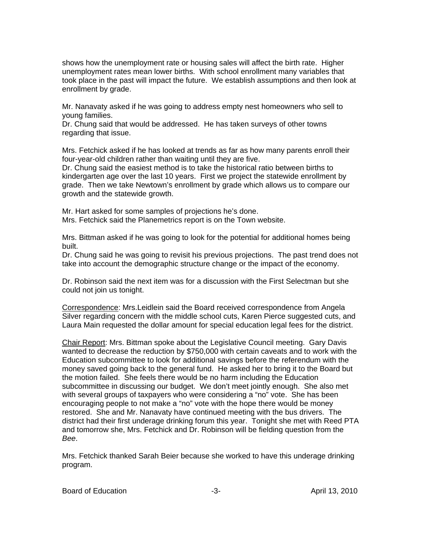shows how the unemployment rate or housing sales will affect the birth rate. Higher unemployment rates mean lower births. With school enrollment many variables that took place in the past will impact the future. We establish assumptions and then look at enrollment by grade.

Mr. Nanavaty asked if he was going to address empty nest homeowners who sell to young families.

Dr. Chung said that would be addressed. He has taken surveys of other towns regarding that issue.

Mrs. Fetchick asked if he has looked at trends as far as how many parents enroll their four-year-old children rather than waiting until they are five.

Dr. Chung said the easiest method is to take the historical ratio between births to kindergarten age over the last 10 years. First we project the statewide enrollment by grade. Then we take Newtown's enrollment by grade which allows us to compare our growth and the statewide growth.

Mr. Hart asked for some samples of projections he's done. Mrs. Fetchick said the Planemetrics report is on the Town website.

Mrs. Bittman asked if he was going to look for the potential for additional homes being built.

Dr. Chung said he was going to revisit his previous projections. The past trend does not take into account the demographic structure change or the impact of the economy.

Dr. Robinson said the next item was for a discussion with the First Selectman but she could not join us tonight.

Correspondence: Mrs.Leidlein said the Board received correspondence from Angela Silver regarding concern with the middle school cuts, Karen Pierce suggested cuts, and Laura Main requested the dollar amount for special education legal fees for the district.

Chair Report: Mrs. Bittman spoke about the Legislative Council meeting. Gary Davis wanted to decrease the reduction by \$750,000 with certain caveats and to work with the Education subcommittee to look for additional savings before the referendum with the money saved going back to the general fund. He asked her to bring it to the Board but the motion failed. She feels there would be no harm including the Education subcommittee in discussing our budget. We don't meet jointly enough. She also met with several groups of taxpayers who were considering a "no" vote. She has been encouraging people to not make a "no" vote with the hope there would be money restored. She and Mr. Nanavaty have continued meeting with the bus drivers. The district had their first underage drinking forum this year. Tonight she met with Reed PTA and tomorrow she, Mrs. Fetchick and Dr. Robinson will be fielding question from the *Bee*.

Mrs. Fetchick thanked Sarah Beier because she worked to have this underage drinking program.

Board of Education **Contact Contact Contact Contact Contact Contact Contact Contact Contact Contact Contact Contact Contact Contact Contact Contact Contact Contact Contact Contact Contact Contact Contact Contact Contact Co**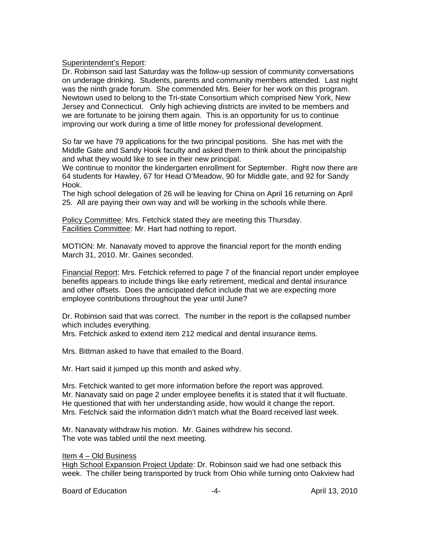Superintendent's Report:

Dr. Robinson said last Saturday was the follow-up session of community conversations on underage drinking. Students, parents and community members attended. Last night was the ninth grade forum. She commended Mrs. Beier for her work on this program. Newtown used to belong to the Tri-state Consortium which comprised New York, New Jersey and Connecticut. Only high achieving districts are invited to be members and we are fortunate to be joining them again. This is an opportunity for us to continue improving our work during a time of little money for professional development.

So far we have 79 applications for the two principal positions. She has met with the Middle Gate and Sandy Hook faculty and asked them to think about the principalship and what they would like to see in their new principal.

We continue to monitor the kindergarten enrollment for September. Right now there are 64 students for Hawley, 67 for Head O'Meadow, 90 for Middle gate, and 92 for Sandy Hook.

The high school delegation of 26 will be leaving for China on April 16 returning on April 25. All are paying their own way and will be working in the schools while there.

Policy Committee: Mrs. Fetchick stated they are meeting this Thursday. Facilities Committee: Mr. Hart had nothing to report.

MOTION: Mr. Nanavaty moved to approve the financial report for the month ending March 31, 2010. Mr. Gaines seconded.

Financial Report: Mrs. Fetchick referred to page 7 of the financial report under employee benefits appears to include things like early retirement, medical and dental insurance and other offsets. Does the anticipated deficit include that we are expecting more employee contributions throughout the year until June?

Dr. Robinson said that was correct. The number in the report is the collapsed number which includes everything.

Mrs. Fetchick asked to extend item 212 medical and dental insurance items.

Mrs. Bittman asked to have that emailed to the Board.

Mr. Hart said it jumped up this month and asked why.

Mrs. Fetchick wanted to get more information before the report was approved. Mr. Nanavaty said on page 2 under employee benefits it is stated that it will fluctuate. He questioned that with her understanding aside, how would it change the report. Mrs. Fetchick said the information didn't match what the Board received last week.

Mr. Nanavaty withdraw his motion. Mr. Gaines withdrew his second. The vote was tabled until the next meeting.

## Item 4 – Old Business

High School Expansion Project Update: Dr. Robinson said we had one setback this week. The chiller being transported by truck from Ohio while turning onto Oakview had

Board of Education **Francisco Community -4-** April 13, 2010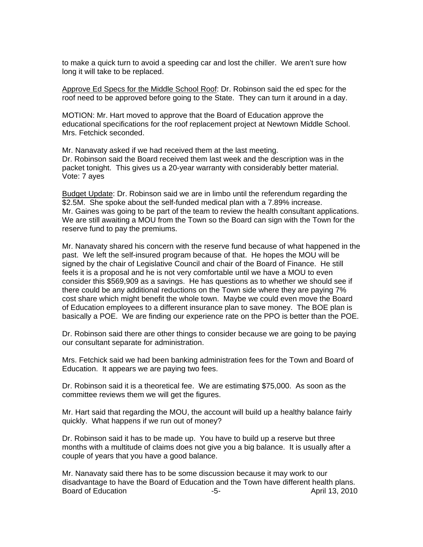to make a quick turn to avoid a speeding car and lost the chiller. We aren't sure how long it will take to be replaced.

Approve Ed Specs for the Middle School Roof: Dr. Robinson said the ed spec for the roof need to be approved before going to the State. They can turn it around in a day.

MOTION: Mr. Hart moved to approve that the Board of Education approve the educational specifications for the roof replacement project at Newtown Middle School. Mrs. Fetchick seconded.

Mr. Nanavaty asked if we had received them at the last meeting. Dr. Robinson said the Board received them last week and the description was in the packet tonight. This gives us a 20-year warranty with considerably better material. Vote: 7 ayes

Budget Update: Dr. Robinson said we are in limbo until the referendum regarding the \$2.5M. She spoke about the self-funded medical plan with a 7.89% increase. Mr. Gaines was going to be part of the team to review the health consultant applications. We are still awaiting a MOU from the Town so the Board can sign with the Town for the reserve fund to pay the premiums.

Mr. Nanavaty shared his concern with the reserve fund because of what happened in the past. We left the self-insured program because of that. He hopes the MOU will be signed by the chair of Legislative Council and chair of the Board of Finance. He still feels it is a proposal and he is not very comfortable until we have a MOU to even consider this \$569,909 as a savings. He has questions as to whether we should see if there could be any additional reductions on the Town side where they are paying 7% cost share which might benefit the whole town. Maybe we could even move the Board of Education employees to a different insurance plan to save money. The BOE plan is basically a POE. We are finding our experience rate on the PPO is better than the POE.

Dr. Robinson said there are other things to consider because we are going to be paying our consultant separate for administration.

Mrs. Fetchick said we had been banking administration fees for the Town and Board of Education. It appears we are paying two fees.

Dr. Robinson said it is a theoretical fee. We are estimating \$75,000. As soon as the committee reviews them we will get the figures.

Mr. Hart said that regarding the MOU, the account will build up a healthy balance fairly quickly. What happens if we run out of money?

Dr. Robinson said it has to be made up. You have to build up a reserve but three months with a multitude of claims does not give you a big balance. It is usually after a couple of years that you have a good balance.

Mr. Nanavaty said there has to be some discussion because it may work to our disadvantage to have the Board of Education and the Town have different health plans. Board of Education **-5-** April 13, 2010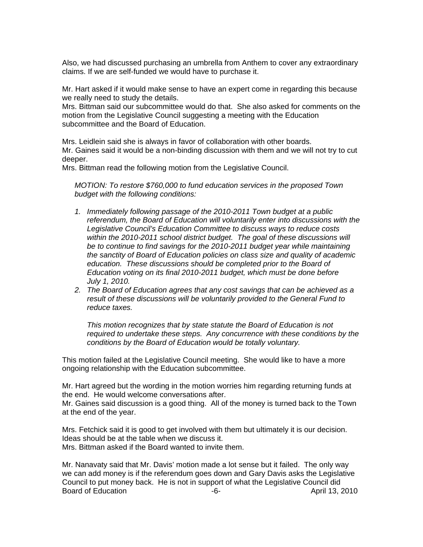Also, we had discussed purchasing an umbrella from Anthem to cover any extraordinary claims. If we are self-funded we would have to purchase it.

Mr. Hart asked if it would make sense to have an expert come in regarding this because we really need to study the details.

Mrs. Bittman said our subcommittee would do that. She also asked for comments on the motion from the Legislative Council suggesting a meeting with the Education subcommittee and the Board of Education.

Mrs. Leidlein said she is always in favor of collaboration with other boards. Mr. Gaines said it would be a non-binding discussion with them and we will not try to cut deeper.

Mrs. Bittman read the following motion from the Legislative Council.

*MOTION: To restore \$760,000 to fund education services in the proposed Town budget with the following conditions:* 

- *1. Immediately following passage of the 2010-2011 Town budget at a public referendum, the Board of Education will voluntarily enter into discussions with the Legislative Council's Education Committee to discuss ways to reduce costs within the 2010-2011 school district budget. The goal of these discussions will be to continue to find savings for the 2010-2011 budget year while maintaining the sanctity of Board of Education policies on class size and quality of academic education. These discussions should be completed prior to the Board of Education voting on its final 2010-2011 budget, which must be done before July 1, 2010.*
- *2. The Board of Education agrees that any cost savings that can be achieved as a result of these discussions will be voluntarily provided to the General Fund to reduce taxes.*

*This motion recognizes that by state statute the Board of Education is not required to undertake these steps. Any concurrence with these conditions by the conditions by the Board of Education would be totally voluntary.* 

This motion failed at the Legislative Council meeting. She would like to have a more ongoing relationship with the Education subcommittee.

Mr. Hart agreed but the wording in the motion worries him regarding returning funds at the end. He would welcome conversations after.

Mr. Gaines said discussion is a good thing. All of the money is turned back to the Town at the end of the year.

Mrs. Fetchick said it is good to get involved with them but ultimately it is our decision. Ideas should be at the table when we discuss it. Mrs. Bittman asked if the Board wanted to invite them.

Mr. Nanavaty said that Mr. Davis' motion made a lot sense but it failed. The only way we can add money is if the referendum goes down and Gary Davis asks the Legislative Council to put money back. He is not in support of what the Legislative Council did Board of Education **-6-** April 13, 2010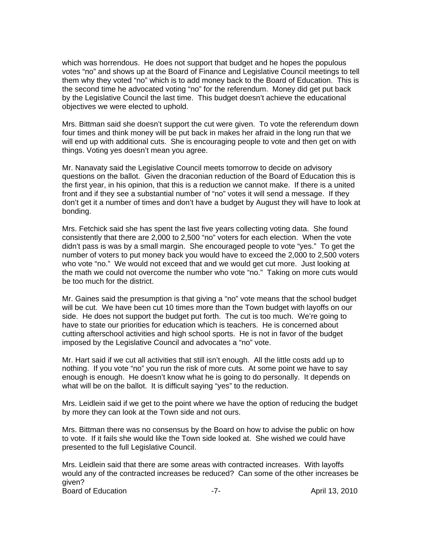which was horrendous. He does not support that budget and he hopes the populous votes "no" and shows up at the Board of Finance and Legislative Council meetings to tell them why they voted "no" which is to add money back to the Board of Education. This is the second time he advocated voting "no" for the referendum. Money did get put back by the Legislative Council the last time. This budget doesn't achieve the educational objectives we were elected to uphold.

Mrs. Bittman said she doesn't support the cut were given. To vote the referendum down four times and think money will be put back in makes her afraid in the long run that we will end up with additional cuts. She is encouraging people to vote and then get on with things. Voting yes doesn't mean you agree.

Mr. Nanavaty said the Legislative Council meets tomorrow to decide on advisory questions on the ballot. Given the draconian reduction of the Board of Education this is the first year, in his opinion, that this is a reduction we cannot make. If there is a united front and if they see a substantial number of "no" votes it will send a message. If they don't get it a number of times and don't have a budget by August they will have to look at bonding.

Mrs. Fetchick said she has spent the last five years collecting voting data. She found consistently that there are 2,000 to 2,500 "no" voters for each election. When the vote didn't pass is was by a small margin. She encouraged people to vote "yes." To get the number of voters to put money back you would have to exceed the 2,000 to 2,500 voters who vote "no." We would not exceed that and we would get cut more. Just looking at the math we could not overcome the number who vote "no." Taking on more cuts would be too much for the district.

Mr. Gaines said the presumption is that giving a "no" vote means that the school budget will be cut. We have been cut 10 times more than the Town budget with layoffs on our side. He does not support the budget put forth. The cut is too much. We're going to have to state our priorities for education which is teachers. He is concerned about cutting afterschool activities and high school sports. He is not in favor of the budget imposed by the Legislative Council and advocates a "no" vote.

Mr. Hart said if we cut all activities that still isn't enough. All the little costs add up to nothing. If you vote "no" you run the risk of more cuts. At some point we have to say enough is enough. He doesn't know what he is going to do personally. It depends on what will be on the ballot. It is difficult saying "yes" to the reduction.

Mrs. Leidlein said if we get to the point where we have the option of reducing the budget by more they can look at the Town side and not ours.

Mrs. Bittman there was no consensus by the Board on how to advise the public on how to vote. If it fails she would like the Town side looked at. She wished we could have presented to the full Legislative Council.

Mrs. Leidlein said that there are some areas with contracted increases. With layoffs would any of the contracted increases be reduced? Can some of the other increases be given? Board of Education **-7-** T- **April 13, 2010**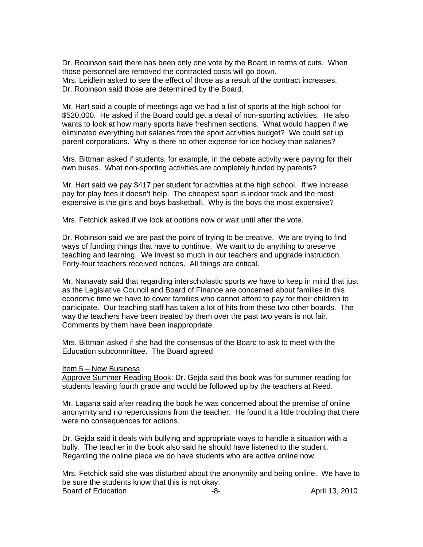Dr. Robinson said there has been only one vote by the Board in terms of cuts. When those personnel are removed the contracted costs will go down. Mrs. Leidlein asked to see the effect of those as a result of the contract increases. Dr. Robinson said those are determined by the Board.

Mr. Hart said a couple of meetings ago we had a list of sports at the high school for \$520,000. He asked if the Board could get a detail of non-sporting activities. He also wants to look at how many sports have freshmen sections. What would happen if we eliminated everything but salaries from the sport activities budget? We could set up parent corporations. Why is there no other expense for ice hockey than salaries?

Mrs. Bittman asked if students, for example, in the debate activity were paying for their own buses. What non-sporting activities are completely funded by parents?

Mr. Hart said we pay \$417 per student for activities at the high school. If we increase pay for play fees it doesn't help. The cheapest sport is indoor track and the most expensive is the girls and boys basketball. Why is the boys the most expensive?

Mrs. Fetchick asked if we look at options now or wait until after the vote.

Dr. Robinson said we are past the point of trying to be creative. We are trying to find ways of funding things that have to continue. We want to do anything to preserve teaching and learning. We invest so much in our teachers and upgrade instruction. Forty-four teachers received notices. All things are critical.

Mr. Nanavaty said that regarding interscholastic sports we have to keep in mind that just as the Legislative Council and Board of Finance are concerned about families in this economic time we have to cover families who cannot afford to pay for their children to participate. Our teaching staff has taken a lot of hits from these two other boards. The way the teachers have been treated by them over the past two years is not fair. Comments by them have been inappropriate.

Mrs. Bittman asked if she had the consensus of the Board to ask to meet with the Education subcommittee. The Board agreed

## Item 5 – New Business

Approve Summer Reading Book: Dr. Gejda said this book was for summer reading for students leaving fourth grade and would be followed up by the teachers at Reed.

Mr. Lagana said after reading the book he was concerned about the premise of online anonymity and no repercussions from the teacher. He found it a little troubling that there were no consequences for actions.

Dr. Gejda said it deals with bullying and appropriate ways to handle a situation with a bully. The teacher in the book also said he should have listened to the student. Regarding the online piece we do have students who are active online now.

Mrs. Fetchick said she was disturbed about the anonymity and being online. We have to be sure the students know that this is not okay. Board of Education **-8-** April 13, 2010